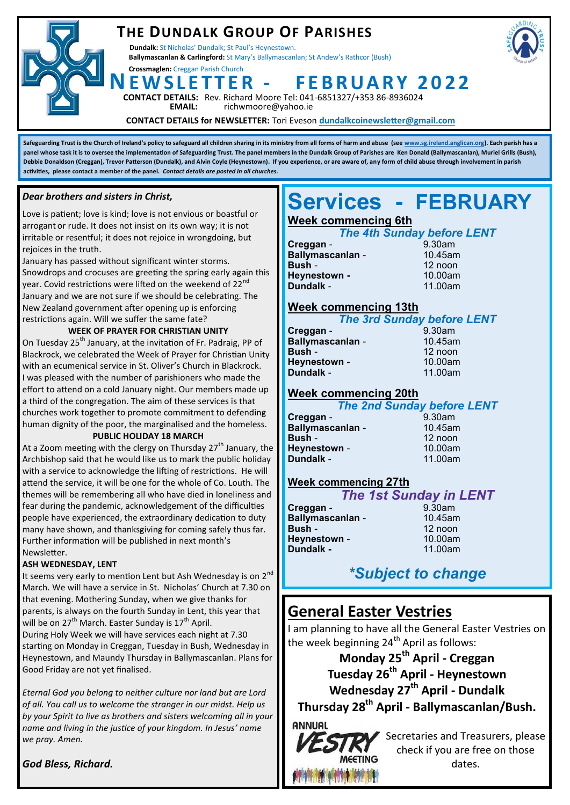## **THE DUNDALK GROUP OF PARISHES**

**Dundalk:** St Nicholas' Dundalk; St Paul's Heynestown. **Ballymascanlan & Carlingford:** St Mary's Ballymascanlan; St Andew's Rathcor (Bush)

**Crossmaglen:** Creggan Parish Church

**NE W S L E T T E R - F E B R UA R Y 2 0 2 2**



**ACT DETAILS:** Rev. Richard Moore Tel: 041-6851327/+353 86-8936024<br>**EMAIL:** richwmoore@yahoo.ie **EMAIL:** richwmoore@yahoo.ie

**CONTACT DETAILS for NEWSLETTER:** Tori Eveson **dundalkcoinewsletter@gmail.com**

**Safeguarding Trust is the Church of Ireland's policy to safeguard all children sharing in its ministry from all forms of harm and abuse (see [www.sg.ireland.anglican.org\)](http://www.sg.ireland.anglican.org). Each parish has a**  panel whose task it is to oversee the implementation of Safeguarding Trust. The panel members in the Dundalk Group of Parishes are Ken Donald (Ballymascanlan), Muriel Grills (Bush), **Debbie Donaldson (Creggan), Trevor Patterson (Dundalk), and Alvin Coyle (Heynestown). If you experience, or are aware of, any form of child abuse through involvement in parish activities, please contact a member of the panel.** *Contact details are posted in all churches.* 

#### *Dear brothers and sisters in Christ,*

Love is patient; love is kind; love is not envious or boastful or arrogant or rude. It does not insist on its own way; it is not irritable or resentful; it does not rejoice in wrongdoing, but rejoices in the truth.

January has passed without significant winter storms. Snowdrops and crocuses are greeting the spring early again this year. Covid restrictions were lifted on the weekend of 22<sup>nd</sup> January and we are not sure if we should be celebrating. The New Zealand government after opening up is enforcing restrictions again. Will we suffer the same fate?

#### **WEEK OF PRAYER FOR CHRISTIAN UNITY**

On Tuesday 25<sup>th</sup> January, at the invitation of Fr. Padraig, PP of Blackrock, we celebrated the Week of Prayer for Christian Unity with an ecumenical service in St. Oliver's Church in Blackrock. I was pleased with the number of parishioners who made the effort to attend on a cold January night. Our members made up a third of the congregation. The aim of these services is that churches work together to promote commitment to defending human dignity of the poor, the marginalised and the homeless.

#### **PUBLIC HOLIDAY 18 MARCH**

At a Zoom meeting with the clergy on Thursday  $27<sup>th</sup>$  January, the Archbishop said that he would like us to mark the public holiday with a service to acknowledge the lifting of restrictions. He will attend the service, it will be one for the whole of Co. Louth. The themes will be remembering all who have died in loneliness and fear during the pandemic, acknowledgement of the difficulties people have experienced, the extraordinary dedication to duty many have shown, and thanksgiving for coming safely thus far. Further information will be published in next month's Newsletter.

#### **ASH WEDNESDAY, LENT**

It seems very early to mention Lent but Ash Wednesday is on 2<sup>nd</sup> March. We will have a service in St. Nicholas' Church at 7.30 on that evening. Mothering Sunday, when we give thanks for parents, is always on the fourth Sunday in Lent, this year that will be on 27<sup>th</sup> March. Easter Sunday is 17<sup>th</sup> April. During Holy Week we will have services each night at 7.30 starting on Monday in Creggan, Tuesday in Bush, Wednesday in

Heynestown, and Maundy Thursday in Ballymascanlan. Plans for Good Friday are not yet finalised.

*Eternal God you belong to neither culture nor land but are Lord of all. You call us to welcome the stranger in our midst. Help us by your Spirit to live as brothers and sisters welcoming all in your name and living in the justice of your kingdom. In Jesus' name we pray. Amen.*

#### *God Bless, Richard.*

# **Services - FEBRUARY**

## **Week commencing 6th**

|           | <b>The 4th Sunday before LENT</b> |        |  |
|-----------|-----------------------------------|--------|--|
| Creggan - |                                   | 9.30am |  |
|           |                                   |        |  |

| <b>Ballymascanlan -</b> | 10.45am |
|-------------------------|---------|
| Bush -                  | 12 noon |
| Heynestown -            | 10.00am |
| Dundalk -               | 11.00am |

### **Week commencing 13th**

*The 3rd Sunday before LENT* **Creggan** -**Ballymascanlan** - 10.45am **Bush** - 12 noon **Heynestown - 10.00am Dundalk** - 11.00am

### **Week commencing 20th**

#### *The 2nd Sunday before LENT*

**Creggan - 9.30am**<br>**Rallymascanlan - 9.30am**<br>10.45am **Ballymascanlan -Bush** - 12 noon **Heynestown -Dundalk** - 11.00am

#### **Week commencing 27th**

|                  | <b>The 1st Sunday in LENT</b> |
|------------------|-------------------------------|
| Creggan -        | $9.30$ am                     |
| Ballymascanlan - | 10.45am                       |
| Bush -           | 12 noon                       |
| Heynestown -     | 10.00am                       |
| Dundalk -        | 11.00am                       |

## *\*Subject to change*

## **General Easter Vestries**

I am planning to have all the General Easter Vestries on the week beginning  $24<sup>th</sup>$  April as follows:

**Monday 25th April - Creggan Tuesday 26th April - Heynestown Wednesday 27th April - Dundalk Thursday 28th April - Ballymascanlan/Bush.** 





Secretaries and Treasurers, please check if you are free on those dates.